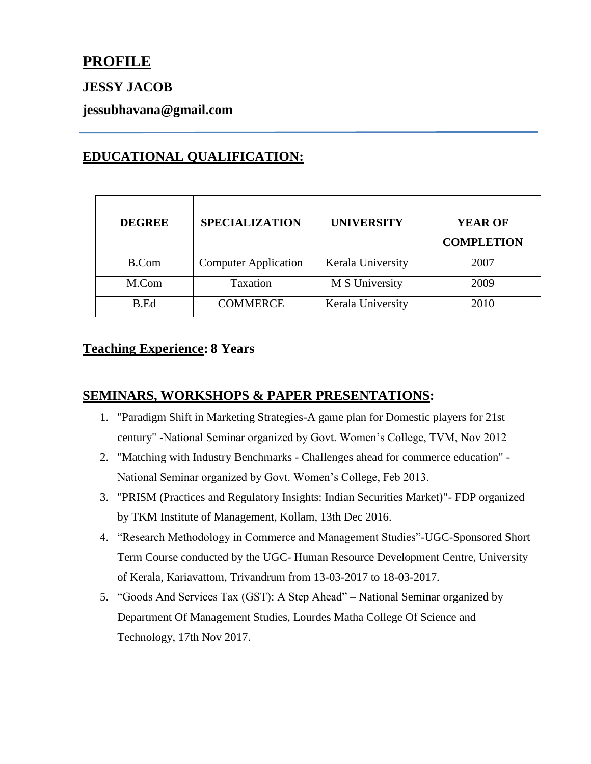# **PROFILE**

### **JESSY JACOB**

### **jessubhavana@gmail.com**

## **EDUCATIONAL QUALIFICATION:**

| <b>DEGREE</b> | <b>SPECIALIZATION</b>       | <b>UNIVERSITY</b> | <b>YEAR OF</b><br><b>COMPLETION</b> |
|---------------|-----------------------------|-------------------|-------------------------------------|
| B.Com         | <b>Computer Application</b> | Kerala University | 2007                                |
| M.Com         | Taxation                    | M S University    | 2009                                |
| B.Ed          | <b>COMMERCE</b>             | Kerala University | 2010                                |

### **Teaching Experience: 8 Years**

### **SEMINARS, WORKSHOPS & PAPER PRESENTATIONS:**

- 1. "Paradigm Shift in Marketing Strategies-A game plan for Domestic players for 21st century" -National Seminar organized by Govt. Women's College, TVM, Nov 2012
- 2. "Matching with Industry Benchmarks Challenges ahead for commerce education" National Seminar organized by Govt. Women's College, Feb 2013.
- 3. "PRISM (Practices and Regulatory Insights: Indian Securities Market)"- FDP organized by TKM Institute of Management, Kollam, 13th Dec 2016.
- 4. "Research Methodology in Commerce and Management Studies"-UGC-Sponsored Short Term Course conducted by the UGC- Human Resource Development Centre, University of Kerala, Kariavattom, Trivandrum from 13-03-2017 to 18-03-2017.
- 5. "Goods And Services Tax (GST): A Step Ahead" National Seminar organized by Department Of Management Studies, Lourdes Matha College Of Science and Technology, 17th Nov 2017.